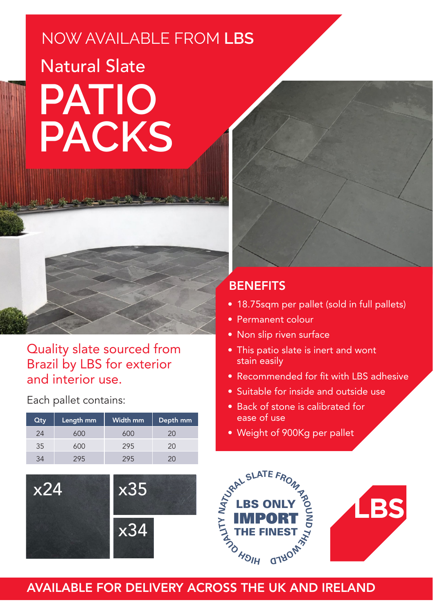## NOW AVAILABLE FROM **LBS** Natural Slate **PATIO PACKS**



Each pallet contains:

| Qty | Length mm | Width mm | Depth mm |
|-----|-----------|----------|----------|
| 24  | 50O       | 600      | (2()     |
| 35  | 600       | 295      | 20       |
|     |           |          |          |



## **BENEFITS**

- 18.75sqm per pallet (sold in full pallets)
- Permanent colour
- Non slip riven surface
- This patio slate is inert and wont stain easily
- Recommended for fit with LBS adhesive
- Suitable for inside and outside use
- Back of stone is calibrated for ease of use
- Weight of 900Kg per pallet



## AVAILABLE FOR DELIVERY ACROSS THE UK AND IRELAND